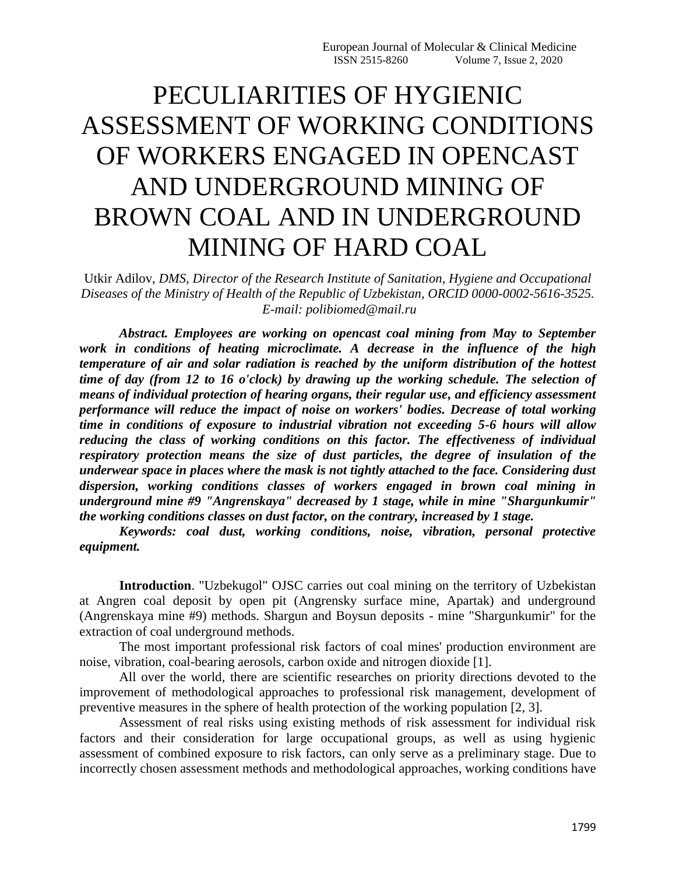## PECULIARITIES OF HYGIENIC ASSESSMENT OF WORKING CONDITIONS OF WORKERS ENGAGED IN OPENCAST AND UNDERGROUND MINING OF BROWN COAL AND IN UNDERGROUND MINING OF HARD COAL

Utkir Adilov, *DMS, Director of the Research Institute of Sanitation, Hygiene and Occupational Diseases of the Ministry of Health of the Republic of Uzbekistan, ORCID 0000-0002-5616-3525. E-mail: polibiomed@mail.ru*

*Abstract. Employees are working on opencast coal mining from May to September work in conditions of heating microclimate. A decrease in the influence of the high temperature of air and solar radiation is reached by the uniform distribution of the hottest time of day (from 12 to 16 o'clock) by drawing up the working schedule. The selection of means of individual protection of hearing organs, their regular use, and efficiency assessment performance will reduce the impact of noise on workers' bodies. Decrease of total working time in conditions of exposure to industrial vibration not exceeding 5-6 hours will allow reducing the class of working conditions on this factor. The effectiveness of individual respiratory protection means the size of dust particles, the degree of insulation of the underwear space in places where the mask is not tightly attached to the face. Considering dust dispersion, working conditions classes of workers engaged in brown coal mining in underground mine #9 "Angrenskaya" decreased by 1 stage, while in mine "Shargunkumir" the working conditions classes on dust factor, on the contrary, increased by 1 stage.*

*Keywords: coal dust, working conditions, noise, vibration, personal protective equipment.*

**Introduction**. "Uzbekugol" OJSC carries out coal mining on the territory of Uzbekistan at Angren coal deposit by open pit (Angrensky surface mine, Apartak) and underground (Angrenskaya mine #9) methods. Shargun and Boysun deposits - mine "Shargunkumir" for the extraction of coal underground methods.

The most important professional risk factors of coal mines' production environment are noise, vibration, coal-bearing aerosols, carbon oxide and nitrogen dioxide [1].

All over the world, there are scientific researches on priority directions devoted to the improvement of methodological approaches to professional risk management, development of preventive measures in the sphere of health protection of the working population [2, 3].

Assessment of real risks using existing methods of risk assessment for individual risk factors and their consideration for large occupational groups, as well as using hygienic assessment of combined exposure to risk factors, can only serve as a preliminary stage. Due to incorrectly chosen assessment methods and methodological approaches, working conditions have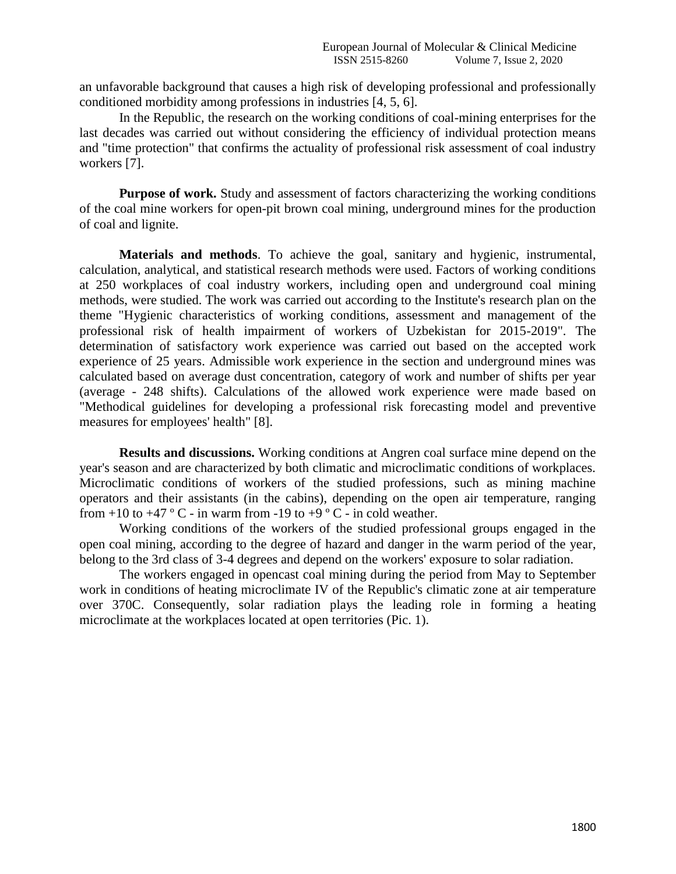an unfavorable background that causes a high risk of developing professional and professionally conditioned morbidity among professions in industries [4, 5, 6].

In the Republic, the research on the working conditions of coal-mining enterprises for the last decades was carried out without considering the efficiency of individual protection means and "time protection" that confirms the actuality of professional risk assessment of coal industry workers [7].

**Purpose of work.** Study and assessment of factors characterizing the working conditions of the coal mine workers for open-pit brown coal mining, underground mines for the production of coal and lignite.

**Materials and methods**. To achieve the goal, sanitary and hygienic, instrumental, calculation, analytical, and statistical research methods were used. Factors of working conditions at 250 workplaces of coal industry workers, including open and underground coal mining methods, were studied. The work was carried out according to the Institute's research plan on the theme "Hygienic characteristics of working conditions, assessment and management of the professional risk of health impairment of workers of Uzbekistan for 2015-2019". The determination of satisfactory work experience was carried out based on the accepted work experience of 25 years. Admissible work experience in the section and underground mines was calculated based on average dust concentration, category of work and number of shifts per year (average - 248 shifts). Calculations of the allowed work experience were made based on "Methodical guidelines for developing a professional risk forecasting model and preventive measures for employees' health" [8].

**Results and discussions.** Working conditions at Angren coal surface mine depend on the year's season and are characterized by both climatic and microclimatic conditions of workplaces. Microclimatic conditions of workers of the studied professions, such as mining machine operators and their assistants (in the cabins), depending on the open air temperature, ranging from  $+10$  to  $+47$  ° C - in warm from -19 to  $+9$  ° C - in cold weather.

Working conditions of the workers of the studied professional groups engaged in the open coal mining, according to the degree of hazard and danger in the warm period of the year, belong to the 3rd class of 3-4 degrees and depend on the workers' exposure to solar radiation.

The workers engaged in opencast coal mining during the period from May to September work in conditions of heating microclimate IV of the Republic's climatic zone at air temperature over 370C. Consequently, solar radiation plays the leading role in forming a heating microclimate at the workplaces located at open territories (Pic. 1).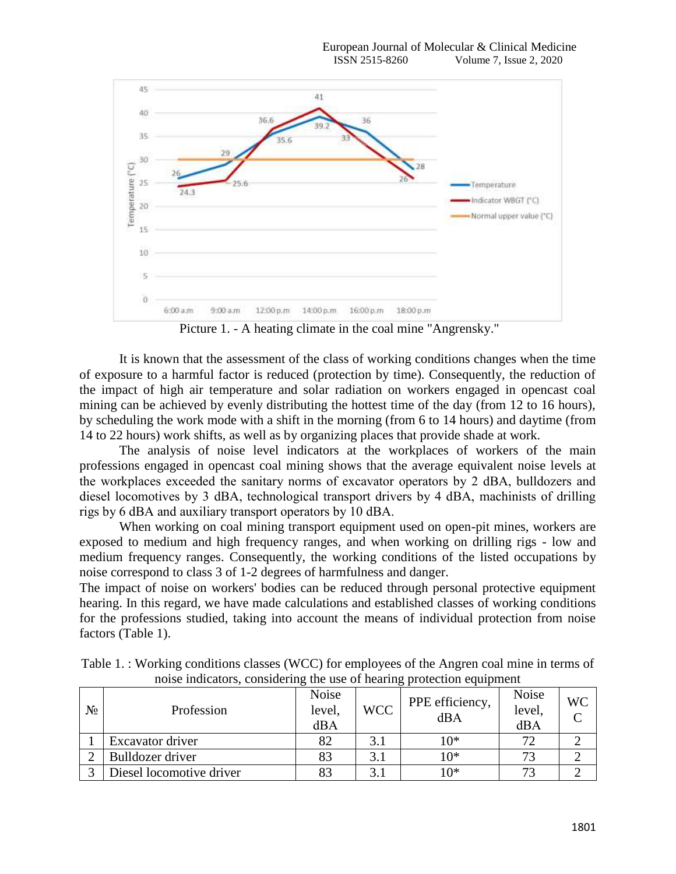

Picture 1. - A heating climate in the coal mine "Angrensky."

It is known that the assessment of the class of working conditions changes when the time of exposure to a harmful factor is reduced (protection by time). Consequently, the reduction of the impact of high air temperature and solar radiation on workers engaged in opencast coal mining can be achieved by evenly distributing the hottest time of the day (from 12 to 16 hours), by scheduling the work mode with a shift in the morning (from 6 to 14 hours) and daytime (from 14 to 22 hours) work shifts, as well as by organizing places that provide shade at work.

The analysis of noise level indicators at the workplaces of workers of the main professions engaged in opencast coal mining shows that the average equivalent noise levels at the workplaces exceeded the sanitary norms of excavator operators by 2 dBА, bulldozers and diesel locomotives by 3 dBА, technological transport drivers by 4 dBА, machinists of drilling rigs by 6 dBА and auxiliary transport operators by 10 dBА.

When working on coal mining transport equipment used on open-pit mines, workers are exposed to medium and high frequency ranges, and when working on drilling rigs - low and medium frequency ranges. Consequently, the working conditions of the listed occupations by noise correspond to class 3 of 1-2 degrees of harmfulness and danger.

The impact of noise on workers' bodies can be reduced through personal protective equipment hearing. In this regard, we have made calculations and established classes of working conditions for the professions studied, taking into account the means of individual protection from noise factors (Table 1).

| $N_2$ | Profession               | <b>Noise</b><br>level,<br>dBA | <b>WCC</b>    | PPE efficiency,<br>dBA | <b>Noise</b><br>level.<br>dBA | WC |
|-------|--------------------------|-------------------------------|---------------|------------------------|-------------------------------|----|
|       | Excavator driver         |                               |               | 10*                    |                               |    |
|       | Bulldozer driver         | 83                            | $\mathcal{R}$ | 10*                    |                               |    |
|       | Diesel locomotive driver |                               | $\sim$        | $10*$                  |                               |    |

Table 1. : Working conditions classes (WCC) for employees of the Angren coal mine in terms of noise indicators, considering the use of hearing protection equipment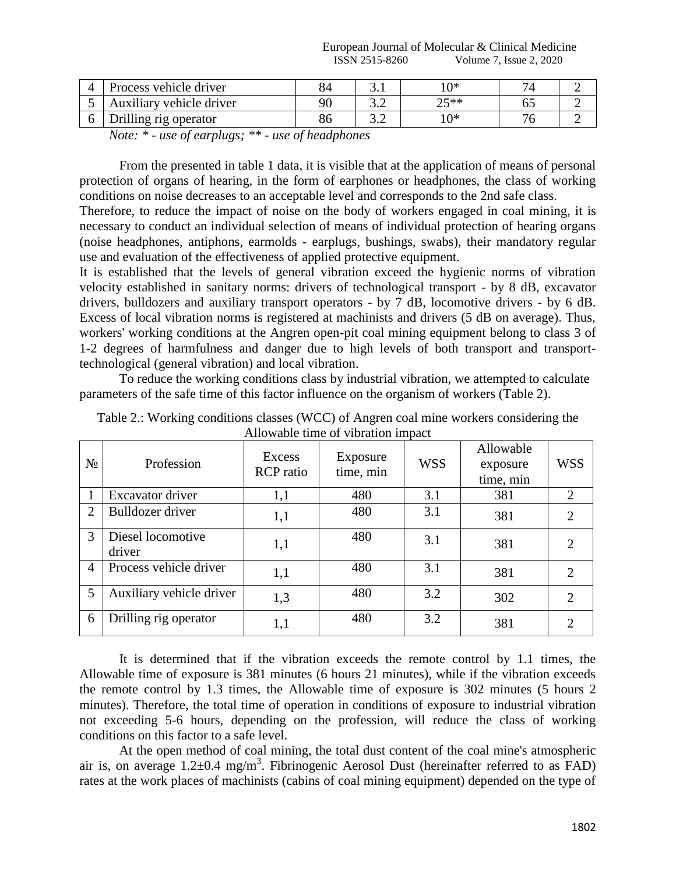European Journal of Molecular & Clinical Medicine ISSN 2515-8260 Volume 7, Issue 2, 2020

| Δ | <b>Process vehicle driver</b> | 04 | J.I   | ∣∩∗       |   |  |
|---|-------------------------------|----|-------|-----------|---|--|
|   | Auxiliary vehicle driver      | 90 | ے . ب | つく**<br>~ | ິ |  |
|   | Orilling rig operator         | 86 | ے . ب | ∩∗        |   |  |

*Note: \* - use of earplugs; \*\* - use of headphones*

From the presented in table 1 data, it is visible that at the application of means of personal protection of organs of hearing, in the form of earphones or headphones, the class of working conditions on noise decreases to an acceptable level and corresponds to the 2nd safe class.

Therefore, to reduce the impact of noise on the body of workers engaged in coal mining, it is necessary to conduct an individual selection of means of individual protection of hearing organs (noise headphones, antiphons, earmolds - earplugs, bushings, swabs), their mandatory regular use and evaluation of the effectiveness of applied protective equipment.

It is established that the levels of general vibration exceed the hygienic norms of vibration velocity established in sanitary norms: drivers of technological transport - by 8 dB, excavator drivers, bulldozers and auxiliary transport operators - by 7 dB, locomotive drivers - by 6 dB. Excess of local vibration norms is registered at machinists and drivers (5 dB on average). Thus, workers' working conditions at the Angren open-pit coal mining equipment belong to class 3 of 1-2 degrees of harmfulness and danger due to high levels of both transport and transporttechnological (general vibration) and local vibration.

To reduce the working conditions class by industrial vibration, we attempted to calculate parameters of the safe time of this factor influence on the organism of workers (Table 2).

| $N_2$          | Profession                  | Excess<br><b>RCP</b> ratio | Exposure<br>time, min | <b>WSS</b> | Allowable<br>exposure<br>time, min | <b>WSS</b>                  |
|----------------|-----------------------------|----------------------------|-----------------------|------------|------------------------------------|-----------------------------|
|                | Excavator driver            | 1,1                        | 480                   | 3.1        | 381                                | $\mathcal{D}_{\mathcal{L}}$ |
| $\overline{2}$ | Bulldozer driver            | 1,1                        | 480                   | 3.1        | 381                                | 2                           |
| 3              | Diesel locomotive<br>driver | 1,1                        | 480                   | 3.1        | 381                                | 2                           |
| $\overline{4}$ | Process vehicle driver      | 1,1                        | 480                   | 3.1        | 381                                | 2                           |
| 5              | Auxiliary vehicle driver    | 1,3                        | 480                   | 3.2        | 302                                | 2                           |
| 6              | Drilling rig operator       | 1,1                        | 480                   | 3.2        | 381                                | 2                           |

Table 2.: Working conditions classes (WCC) of Angren coal mine workers considering the Allowable time of vibration impact

It is determined that if the vibration exceeds the remote control by 1.1 times, the Allowable time of exposure is 381 minutes (6 hours 21 minutes), while if the vibration exceeds the remote control by 1.3 times, the Allowable time of exposure is 302 minutes (5 hours 2 minutes). Therefore, the total time of operation in conditions of exposure to industrial vibration not exceeding 5-6 hours, depending on the profession, will reduce the class of working conditions on this factor to a safe level.

At the open method of coal mining, the total dust content of the coal mine's atmospheric air is, on average  $1.2\pm0.4$  mg/m<sup>3</sup>. Fibrinogenic Aerosol Dust (hereinafter referred to as FAD) rates at the work places of machinists (cabins of coal mining equipment) depended on the type of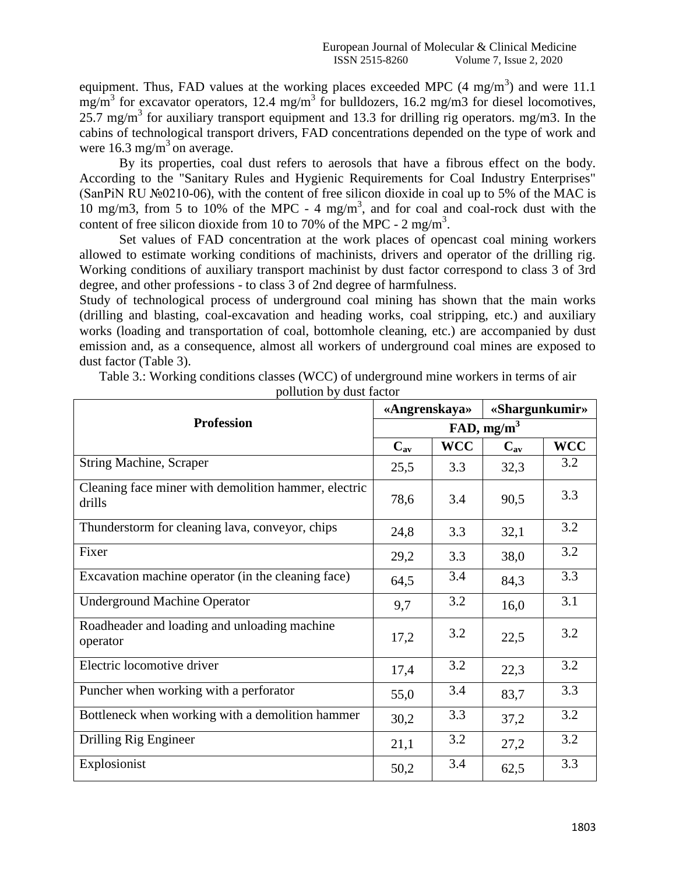equipment. Thus, FAD values at the working places exceeded MPC  $(4 \text{ mg/m}^3)$  and were 11.1  $mg/m<sup>3</sup>$  for excavator operators, 12.4 mg/m<sup>3</sup> for bulldozers, 16.2 mg/m3 for diesel locomotives,  $25.7$  mg/m<sup>3</sup> for auxiliary transport equipment and 13.3 for drilling rig operators. mg/m3. In the cabins of technological transport drivers, FAD concentrations depended on the type of work and were  $16.3$  mg/m<sup>3</sup> on average.

By its properties, coal dust refers to aerosols that have a fibrous effect on the body. According to the "Sanitary Rules and Hygienic Requirements for Coal Industry Enterprises" (SanPiN RU  $\mathcal{N}$ <sup>o</sup> $(0210-06)$ , with the content of free silicon dioxide in coal up to 5% of the MAC is  $10 \text{ mg/m}$ 3, from 5 to  $10\%$  of the MPC - 4 mg/m<sup>3</sup>, and for coal and coal-rock dust with the content of free silicon dioxide from 10 to 70% of the MPC -  $2 \text{ mg/m}^3$ .

Set values of FAD concentration at the work places of opencast coal mining workers allowed to estimate working conditions of machinists, drivers and operator of the drilling rig. Working conditions of auxiliary transport machinist by dust factor correspond to class 3 of 3rd degree, and other professions - to class 3 of 2nd degree of harmfulness.

Study of technological process of underground coal mining has shown that the main works (drilling and blasting, coal-excavation and heading works, coal stripping, etc.) and auxiliary works (loading and transportation of coal, bottomhole cleaning, etc.) are accompanied by dust emission and, as a consequence, almost all workers of underground coal mines are exposed to dust factor (Table 3).

| Table 3.: Working conditions classes (WCC) of underground mine workers in terms of air |
|----------------------------------------------------------------------------------------|
| pollution by dust factor                                                               |

|                                                                | «Angrenskaya»          |            | «Shargunkumir» |            |  |  |  |
|----------------------------------------------------------------|------------------------|------------|----------------|------------|--|--|--|
| <b>Profession</b>                                              | FAD, mg/m <sup>3</sup> |            |                |            |  |  |  |
|                                                                | $C_{av}$               | <b>WCC</b> | $C_{av}$       | <b>WCC</b> |  |  |  |
| <b>String Machine, Scraper</b>                                 | 25,5                   | 3.3        | 32,3           | 3.2        |  |  |  |
| Cleaning face miner with demolition hammer, electric<br>drills | 78,6                   | 3.4        | 90,5           | 3.3        |  |  |  |
| Thunderstorm for cleaning lava, conveyor, chips                | 24,8                   | 3.3        | 32,1           | 3.2        |  |  |  |
| Fixer                                                          | 29,2                   | 3.3        | 38,0           | 3.2        |  |  |  |
| Excavation machine operator (in the cleaning face)             | 64,5                   | 3.4        | 84,3           | 3.3        |  |  |  |
| <b>Underground Machine Operator</b>                            | 9,7                    | 3.2        | 16,0           | 3.1        |  |  |  |
| Roadheader and loading and unloading machine<br>operator       | 17,2                   | 3.2        | 22,5           | 3.2        |  |  |  |
| Electric locomotive driver                                     | 17,4                   | 3.2        | 22,3           | 3.2        |  |  |  |
| Puncher when working with a perforator                         | 55,0                   | 3.4        | 83,7           | 3.3        |  |  |  |
| Bottleneck when working with a demolition hammer               | 30,2                   | 3.3        | 37,2           | 3.2        |  |  |  |
| Drilling Rig Engineer                                          | 21,1                   | 3.2        | 27,2           | 3.2        |  |  |  |
| Explosionist                                                   | 50,2                   | 3.4        | 62,5           | 3.3        |  |  |  |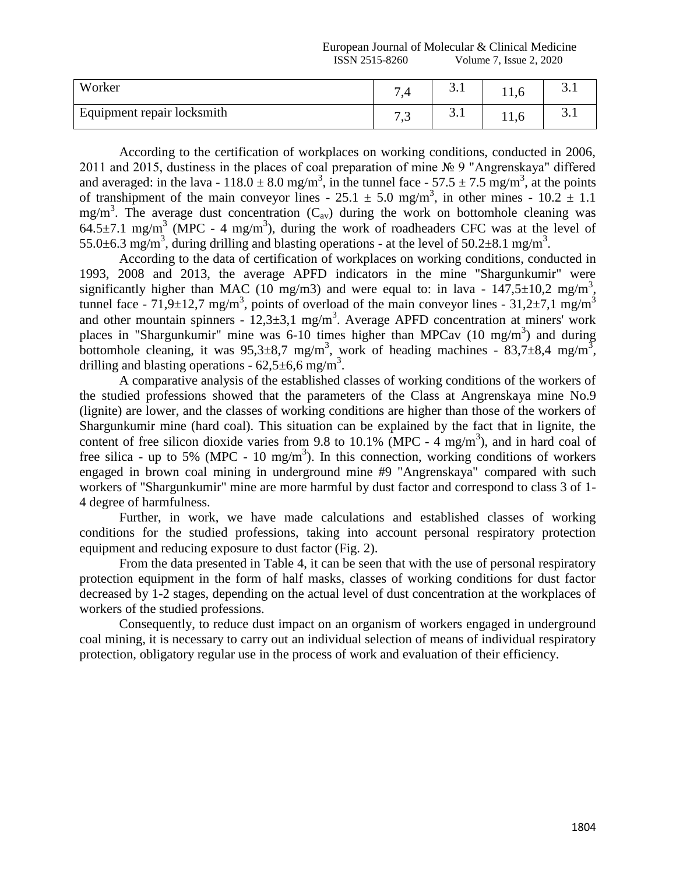## European Journal of Molecular & Clinical Medicine ISSN 2515-8260 Volume 7, Issue 2, 2020

| Worker                     | $\overline{ }$      | $\sim$<br>J.I | 11,0 | ◡. |
|----------------------------|---------------------|---------------|------|----|
| Equipment repair locksmith | $\sim$ $\sim$<br>ໍ່ | ⌒<br>J.I      | 11,0 |    |

According to the certification of workplaces on working conditions, conducted in 2006, 2011 and 2015, dustiness in the places of coal preparation of mine № 9 "Angrenskaya" differed and averaged: in the lava -  $118.0 \pm 8.0$  mg/m<sup>3</sup>, in the tunnel face -  $57.5 \pm 7.5$  mg/m<sup>3</sup>, at the points of transhipment of the main conveyor lines -  $25.1 \pm 5.0$  mg/m<sup>3</sup>, in other mines -  $10.2 \pm 1.1$ mg/m<sup>3</sup>. The average dust concentration  $(C_{av})$  during the work on bottomhole cleaning was  $64.5\pm7.1$  mg/m<sup>3</sup> (MPC - 4 mg/m<sup>3</sup>), during the work of roadheaders CFC was at the level of 55.0 $\pm$ 6.3 mg/m<sup>3</sup>, during drilling and blasting operations - at the level of 50.2 $\pm$ 8.1 mg/m<sup>3</sup>.

According to the data of certification of workplaces on working conditions, conducted in 1993, 2008 and 2013, the average APFD indicators in the mine "Shargunkumir" were significantly higher than MAC (10 mg/m3) and were equal to: in lava -  $147,5\pm10,2$  mg/m<sup>3</sup>, tunnel face - 71,9 $\pm$ 12,7 mg/m<sup>3</sup>, points of overload of the main conveyor lines - 31,2 $\pm$ 7,1 mg/m<sup>3</sup> and other mountain spinners -  $12,3\pm3,1$  mg/m<sup>3</sup>. Average APFD concentration at miners' work places in "Shargunkumir" mine was  $6\n-10$  times higher than MPCav  $(10 \text{ mg/m}^3)$  and during bottomhole cleaning, it was  $95,3\pm8,7$  mg/m<sup>3</sup>, work of heading machines - 83,7 $\pm8,4$  mg/m<sup>3</sup>, drilling and blasting operations -  $62,5\pm6,6$  mg/m<sup>3</sup>.

A comparative analysis of the established classes of working conditions of the workers of the studied professions showed that the parameters of the Class at Angrenskaya mine No.9 (lignite) are lower, and the classes of working conditions are higher than those of the workers of Shargunkumir mine (hard coal). This situation can be explained by the fact that in lignite, the content of free silicon dioxide varies from 9.8 to 10.1% (MPC -  $4 \text{ mg/m}^3$ ), and in hard coal of free silica - up to 5% (MPC - 10 mg/m<sup>3</sup>). In this connection, working conditions of workers engaged in brown coal mining in underground mine #9 "Angrenskaya" compared with such workers of "Shargunkumir" mine are more harmful by dust factor and correspond to class 3 of 1- 4 degree of harmfulness.

Further, in work, we have made calculations and established classes of working conditions for the studied professions, taking into account personal respiratory protection equipment and reducing exposure to dust factor (Fig. 2).

From the data presented in Table 4, it can be seen that with the use of personal respiratory protection equipment in the form of half masks, classes of working conditions for dust factor decreased by 1-2 stages, depending on the actual level of dust concentration at the workplaces of workers of the studied professions.

Consequently, to reduce dust impact on an organism of workers engaged in underground coal mining, it is necessary to carry out an individual selection of means of individual respiratory protection, obligatory regular use in the process of work and evaluation of their efficiency.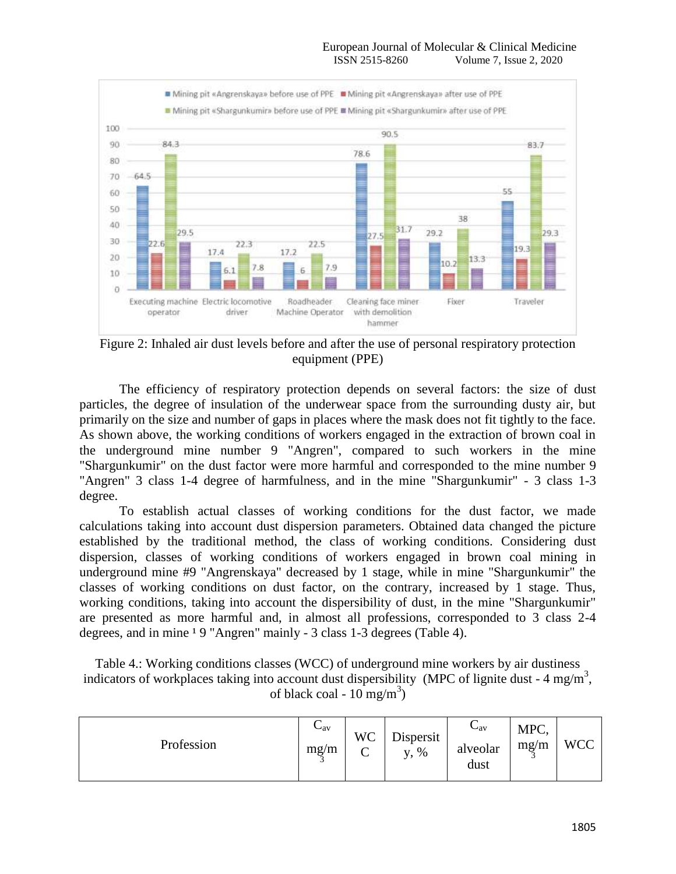

Figure 2: Inhaled air dust levels before and after the use of personal respiratory protection equipment (PPE)

The efficiency of respiratory protection depends on several factors: the size of dust particles, the degree of insulation of the underwear space from the surrounding dusty air, but primarily on the size and number of gaps in places where the mask does not fit tightly to the face. As shown above, the working conditions of workers engaged in the extraction of brown coal in the underground mine number 9 "Angren", compared to such workers in the mine "Shargunkumir" on the dust factor were more harmful and corresponded to the mine number 9 "Angren" 3 class 1-4 degree of harmfulness, and in the mine "Shargunkumir" - 3 class 1-3 degree.

To establish actual classes of working conditions for the dust factor, we made calculations taking into account dust dispersion parameters. Obtained data changed the picture established by the traditional method, the class of working conditions. Considering dust dispersion, classes of working conditions of workers engaged in brown coal mining in underground mine #9 "Angrenskaya" decreased by 1 stage, while in mine "Shargunkumir" the classes of working conditions on dust factor, on the contrary, increased by 1 stage. Thus, working conditions, taking into account the dispersibility of dust, in the mine "Shargunkumir" are presented as more harmful and, in almost all professions, corresponded to 3 class 2-4 degrees, and in mine <sup>1</sup> 9 "Angren" mainly - 3 class 1-3 degrees (Table 4).

Table 4.: Working conditions classes (WCC) of underground mine workers by air dustiness indicators of workplaces taking into account dust dispersibility (MPC of lignite dust -  $4 \text{ mg/m}^3$ , of black coal -  $10 \text{ mg/m}^3$ )

| Profession | $\mathbf{\cup}$ av<br>mg/m | WC<br>◡ | Dispersit<br>$\%$<br>V, | $\mathbf{v}_{\rm av}$<br>alveolar<br>dust | MPC,<br>mg/m | WCC |
|------------|----------------------------|---------|-------------------------|-------------------------------------------|--------------|-----|
|------------|----------------------------|---------|-------------------------|-------------------------------------------|--------------|-----|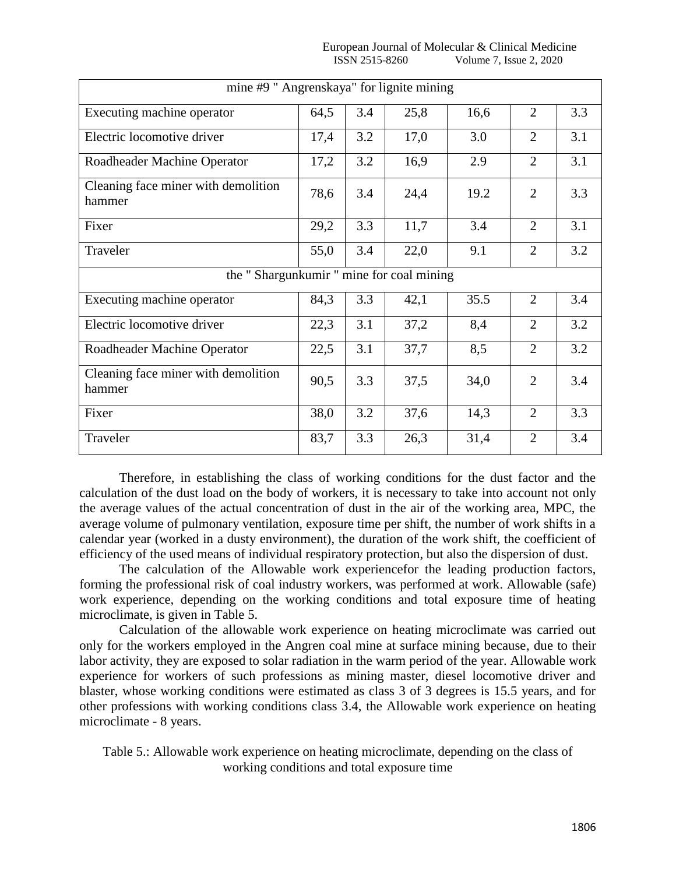| .copean Journal<br>- OT<br>Eu1 | $\sim$ .<br>$\mathcal{R}^+$<br>Medicine<br>Molecular<br>Ulinical J |
|--------------------------------|--------------------------------------------------------------------|
|                                |                                                                    |
| 8260                           |                                                                    |
| 45SN -                         | 2020                                                               |
| -                              | <i>ssue</i>                                                        |
| $\cdots$                       | volume                                                             |
|                                |                                                                    |
|                                |                                                                    |
|                                |                                                                    |

| mine #9 " Angrenskaya" for lignite mining     |      |     |      |      |                |     |  |  |
|-----------------------------------------------|------|-----|------|------|----------------|-----|--|--|
| Executing machine operator                    | 64,5 | 3.4 | 25,8 | 16,6 | $\overline{2}$ | 3.3 |  |  |
| Electric locomotive driver                    | 17,4 | 3.2 | 17,0 | 3.0  | $\overline{2}$ | 3.1 |  |  |
| Roadheader Machine Operator                   | 17,2 | 3.2 | 16,9 | 2.9  | 2              | 3.1 |  |  |
| Cleaning face miner with demolition<br>hammer | 78,6 | 3.4 | 24,4 | 19.2 | $\overline{2}$ | 3.3 |  |  |
| Fixer                                         | 29,2 | 3.3 | 11,7 | 3.4  | $\overline{2}$ | 3.1 |  |  |
| Traveler                                      | 55,0 | 3.4 | 22,0 | 9.1  | $\overline{2}$ | 3.2 |  |  |
| the "Shargunkumir" mine for coal mining       |      |     |      |      |                |     |  |  |
| Executing machine operator                    | 84,3 | 3.3 | 42,1 | 35.5 | 2              | 3.4 |  |  |
| Electric locomotive driver                    | 22,3 | 3.1 | 37,2 | 8,4  | $\overline{2}$ | 3.2 |  |  |
| Roadheader Machine Operator                   | 22,5 | 3.1 | 37,7 | 8,5  | $\overline{2}$ | 3.2 |  |  |
| Cleaning face miner with demolition<br>hammer | 90,5 | 3.3 | 37,5 | 34,0 | $\overline{2}$ | 3.4 |  |  |
| Fixer                                         | 38,0 | 3.2 | 37,6 | 14,3 | $\overline{2}$ | 3.3 |  |  |
| Traveler                                      | 83,7 | 3.3 | 26,3 | 31,4 | $\overline{2}$ | 3.4 |  |  |

Therefore, in establishing the class of working conditions for the dust factor and the calculation of the dust load on the body of workers, it is necessary to take into account not only the average values of the actual concentration of dust in the air of the working area, MPC, the average volume of pulmonary ventilation, exposure time per shift, the number of work shifts in a calendar year (worked in a dusty environment), the duration of the work shift, the coefficient of efficiency of the used means of individual respiratory protection, but also the dispersion of dust.

The calculation of the Allowable work experiencefor the leading production factors, forming the professional risk of coal industry workers, was performed at work. Allowable (safe) work experience, depending on the working conditions and total exposure time of heating microclimate, is given in Table 5.

Calculation of the allowable work experience on heating microclimate was carried out only for the workers employed in the Angren coal mine at surface mining because, due to their labor activity, they are exposed to solar radiation in the warm period of the year. Allowable work experience for workers of such professions as mining master, diesel locomotive driver and blaster, whose working conditions were estimated as class 3 of 3 degrees is 15.5 years, and for other professions with working conditions class 3.4, the Allowable work experience on heating microclimate - 8 years.

Table 5.: Allowable work experience on heating microclimate, depending on the class of working conditions and total exposure time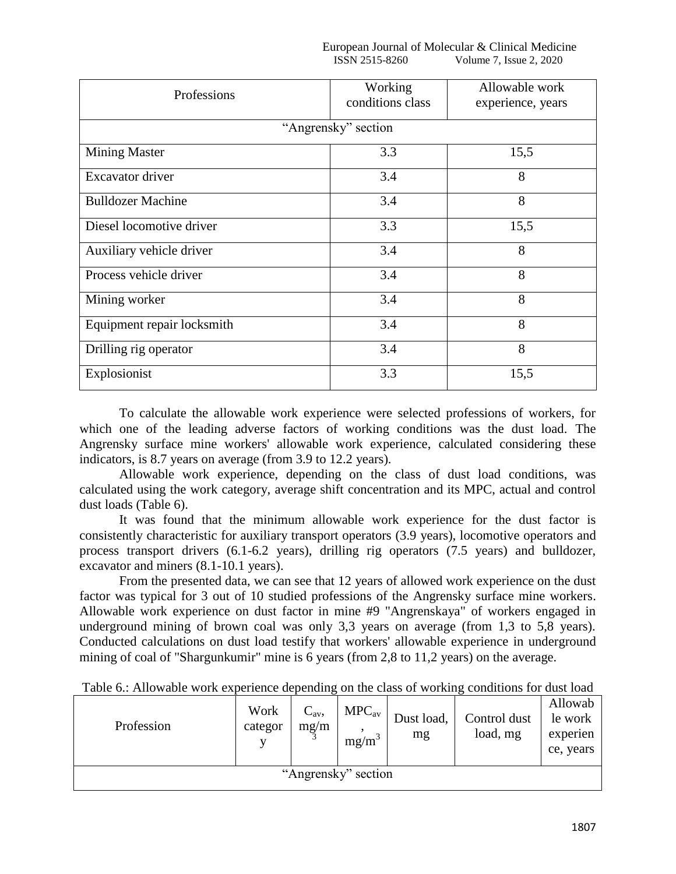European Journal of Molecular & Clinical Medicine<br>ISSN 2515-8260 Volume 7. Issue 2. 2020 Volume 7, Issue 2, 2020

| Professions                | Working<br>conditions class | Allowable work<br>experience, years |  |  |  |  |  |  |  |
|----------------------------|-----------------------------|-------------------------------------|--|--|--|--|--|--|--|
| "Angrensky" section        |                             |                                     |  |  |  |  |  |  |  |
| <b>Mining Master</b>       | 3.3                         | 15,5                                |  |  |  |  |  |  |  |
| Excavator driver           | 3.4                         | 8                                   |  |  |  |  |  |  |  |
| <b>Bulldozer Machine</b>   | 3.4                         | 8                                   |  |  |  |  |  |  |  |
| Diesel locomotive driver   | 3.3                         | 15,5                                |  |  |  |  |  |  |  |
| Auxiliary vehicle driver   | 3.4                         | 8                                   |  |  |  |  |  |  |  |
| Process vehicle driver     | 3.4                         | 8                                   |  |  |  |  |  |  |  |
| Mining worker              | 3.4                         | 8                                   |  |  |  |  |  |  |  |
| Equipment repair locksmith | 3.4                         | 8                                   |  |  |  |  |  |  |  |
| Drilling rig operator      | 3.4                         | 8                                   |  |  |  |  |  |  |  |
| Explosionist               | 3.3                         | 15,5                                |  |  |  |  |  |  |  |

To calculate the allowable work experience were selected professions of workers, for which one of the leading adverse factors of working conditions was the dust load. The Angrensky surface mine workers' allowable work experience, calculated considering these indicators, is 8.7 years on average (from 3.9 to 12.2 years).

Allowable work experience, depending on the class of dust load conditions, was calculated using the work category, average shift concentration and its MPC, actual and control dust loads (Table 6).

It was found that the minimum allowable work experience for the dust factor is consistently characteristic for auxiliary transport operators (3.9 years), locomotive operators and process transport drivers (6.1-6.2 years), drilling rig operators (7.5 years) and bulldozer, excavator and miners (8.1-10.1 years).

From the presented data, we can see that 12 years of allowed work experience on the dust factor was typical for 3 out of 10 studied professions of the Angrensky surface mine workers. Allowable work experience on dust factor in mine #9 "Angrenskaya" of workers engaged in underground mining of brown coal was only 3,3 years on average (from 1,3 to 5,8 years). Conducted calculations on dust load testify that workers' allowable experience in underground mining of coal of "Shargunkumir" mine is 6 years (from 2,8 to 11,2 years) on the average.

| Profession          | Work<br>categor | $C_{\rm av}$ ,<br>mg/m | $MPC_{av}$<br>mg/m <sup>3</sup> | Dust load,<br>mg | Control dust<br>load, mg | Allowab<br>le work<br>experien<br>ce, years |  |  |
|---------------------|-----------------|------------------------|---------------------------------|------------------|--------------------------|---------------------------------------------|--|--|
| "Angrensky" section |                 |                        |                                 |                  |                          |                                             |  |  |

Table 6.: Allowable work experience depending on the class of working conditions for dust load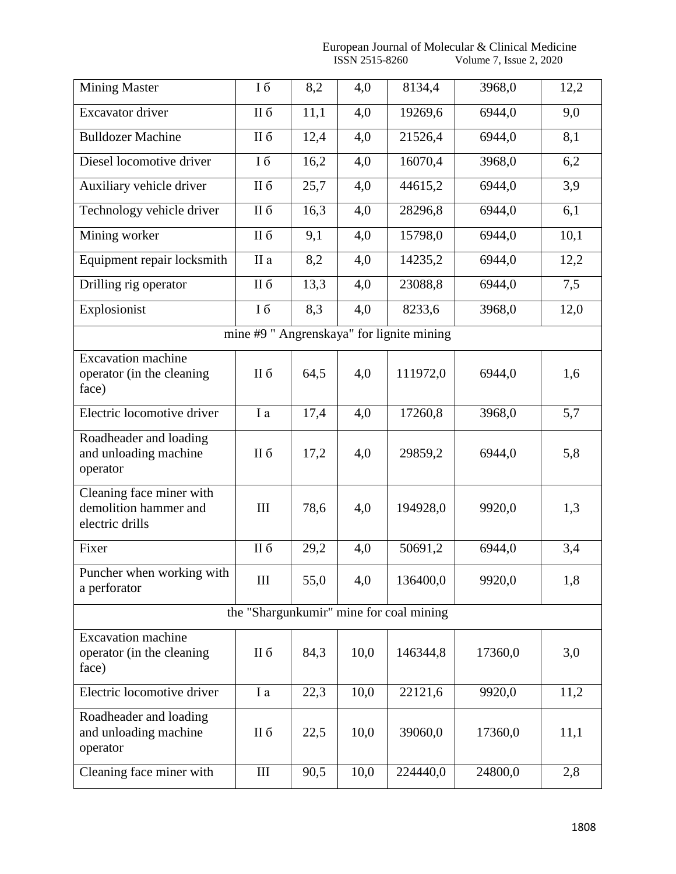European Journal of Molecular & Clinical Medicine ISSN 2515-8260 Volume 7, Issue 2, 2020

| <b>Mining Master</b>                                                 | Iб                                      | 8,2  | 4,0  | 8134,4                                    | 3968,0  | 12,2 |  |  |  |  |
|----------------------------------------------------------------------|-----------------------------------------|------|------|-------------------------------------------|---------|------|--|--|--|--|
| <b>Excavator</b> driver                                              | <b>II</b> б                             | 11,1 | 4,0  | 19269,6                                   | 6944,0  | 9,0  |  |  |  |  |
| <b>Bulldozer Machine</b>                                             | <b>II</b> б                             | 12,4 | 4,0  | 21526,4                                   | 6944,0  | 8,1  |  |  |  |  |
| Diesel locomotive driver                                             | I 6                                     | 16,2 | 4,0  | 16070,4                                   | 3968,0  | 6,2  |  |  |  |  |
| Auxiliary vehicle driver                                             | II б                                    | 25,7 | 4,0  | 44615,2                                   | 6944,0  | 3,9  |  |  |  |  |
| Technology vehicle driver                                            | <b>II</b> б                             | 16,3 | 4,0  | 28296,8                                   | 6944,0  | 6,1  |  |  |  |  |
| Mining worker                                                        | <b>II</b> б                             | 9,1  | 4,0  | 15798,0                                   | 6944,0  | 10,1 |  |  |  |  |
| Equipment repair locksmith                                           | II a                                    | 8,2  | 4,0  | 14235,2                                   | 6944,0  | 12,2 |  |  |  |  |
| Drilling rig operator                                                | <b>II</b> б                             | 13,3 | 4,0  | 23088,8                                   | 6944,0  | 7,5  |  |  |  |  |
| Explosionist                                                         | Iб                                      | 8,3  | 4,0  | 8233,6                                    | 3968,0  | 12,0 |  |  |  |  |
|                                                                      |                                         |      |      | mine #9 " Angrenskaya" for lignite mining |         |      |  |  |  |  |
| <b>Excavation</b> machine<br>operator (in the cleaning<br>face)      | <b>II</b> б                             | 64,5 | 4,0  | 111972,0                                  | 6944,0  | 1,6  |  |  |  |  |
| Electric locomotive driver                                           | I a                                     | 17,4 | 4,0  | 17260,8                                   | 3968,0  | 5,7  |  |  |  |  |
| Roadheader and loading<br>and unloading machine<br>operator          | II б                                    | 17,2 | 4,0  | 29859,2                                   | 6944,0  | 5,8  |  |  |  |  |
| Cleaning face miner with<br>demolition hammer and<br>electric drills | III                                     | 78,6 | 4,0  | 194928,0                                  | 9920,0  | 1,3  |  |  |  |  |
| Fixer                                                                | <b>II</b> б                             | 29,2 | 4,0  | 50691,2                                   | 6944,0  | 3,4  |  |  |  |  |
| Puncher when working with<br>a perforator                            | III                                     | 55,0 | 4,0  | 136400,0                                  | 9920,0  | 1,8  |  |  |  |  |
|                                                                      | the "Shargunkumir" mine for coal mining |      |      |                                           |         |      |  |  |  |  |
| <b>Excavation</b> machine<br>operator (in the cleaning<br>face)      | II б                                    | 84,3 | 10,0 | 146344,8                                  | 17360,0 | 3,0  |  |  |  |  |
| Electric locomotive driver                                           | I a                                     | 22,3 | 10,0 | 22121,6                                   | 9920,0  | 11,2 |  |  |  |  |
| Roadheader and loading<br>and unloading machine<br>operator          | II б                                    | 22,5 | 10,0 | 39060,0                                   | 17360,0 | 11,1 |  |  |  |  |
| Cleaning face miner with                                             | III                                     | 90,5 | 10,0 | 224440,0                                  | 24800,0 | 2,8  |  |  |  |  |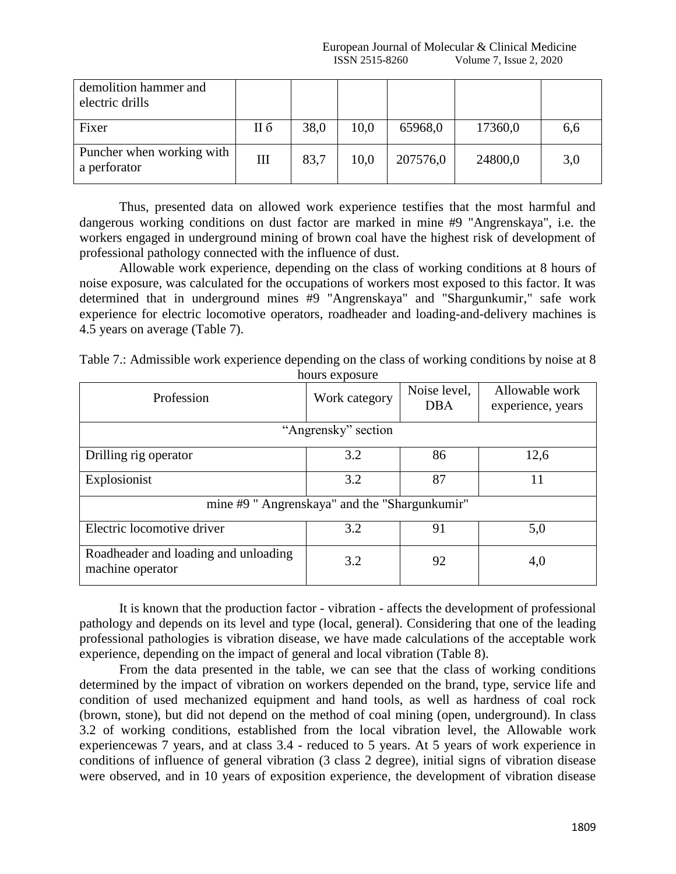| demolition hammer and<br>electric drills  |     |      |      |          |         |     |
|-------------------------------------------|-----|------|------|----------|---------|-----|
| Fixer                                     | Н б | 38,0 | 10,0 | 65968,0  | 17360,0 | 6,6 |
| Puncher when working with<br>a perforator | III | 83,7 | 10,0 | 207576,0 | 24800,0 | 3,0 |

Thus, presented data on allowed work experience testifies that the most harmful and dangerous working conditions on dust factor are marked in mine #9 "Angrenskaya", i.e. the workers engaged in underground mining of brown coal have the highest risk of development of professional pathology connected with the influence of dust.

Allowable work experience, depending on the class of working conditions at 8 hours of noise exposure, was calculated for the occupations of workers most exposed to this factor. It was determined that in underground mines #9 "Angrenskaya" and "Shargunkumir," safe work experience for electric locomotive operators, roadheader and loading-and-delivery machines is 4.5 years on average (Table 7).

| Table 7.: Admissible work experience depending on the class of working conditions by noise at 8 |                |  |  |
|-------------------------------------------------------------------------------------------------|----------------|--|--|
|                                                                                                 | hours exposure |  |  |

| Profession                                               | Work category | Noise level,<br><b>DBA</b> | Allowable work<br>experience, years |  |  |
|----------------------------------------------------------|---------------|----------------------------|-------------------------------------|--|--|
| "Angrensky" section                                      |               |                            |                                     |  |  |
| Drilling rig operator                                    | 3.2           | 86                         | 12,6                                |  |  |
| Explosionist                                             | 3.2           | 87                         | 11                                  |  |  |
| mine #9 " Angrenskaya" and the "Shargunkumir"            |               |                            |                                     |  |  |
| Electric locomotive driver                               | 3.2           | 91                         | 5,0                                 |  |  |
| Roadheader and loading and unloading<br>machine operator | 3.2           | 92                         | 4,0                                 |  |  |

It is known that the production factor - vibration - affects the development of professional pathology and depends on its level and type (local, general). Considering that one of the leading professional pathologies is vibration disease, we have made calculations of the acceptable work experience, depending on the impact of general and local vibration (Table 8).

From the data presented in the table, we can see that the class of working conditions determined by the impact of vibration on workers depended on the brand, type, service life and condition of used mechanized equipment and hand tools, as well as hardness of coal rock (brown, stone), but did not depend on the method of coal mining (open, underground). In class 3.2 of working conditions, established from the local vibration level, the Allowable work experiencewas 7 years, and at class 3.4 - reduced to 5 years. At 5 years of work experience in conditions of influence of general vibration (3 class 2 degree), initial signs of vibration disease were observed, and in 10 years of exposition experience, the development of vibration disease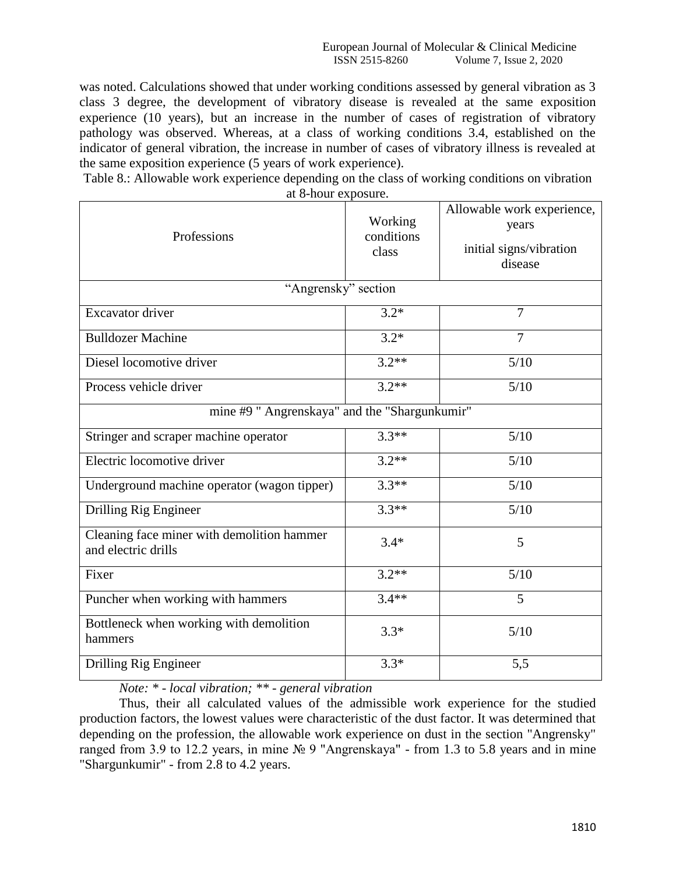was noted. Calculations showed that under working conditions assessed by general vibration as 3 class 3 degree, the development of vibratory disease is revealed at the same exposition experience (10 years), but an increase in the number of cases of registration of vibratory pathology was observed. Whereas, at a class of working conditions 3.4, established on the indicator of general vibration, the increase in number of cases of vibratory illness is revealed at the same exposition experience (5 years of work experience).

Table 8.: Allowable work experience depending on the class of working conditions on vibration at 8-hour exposure.

| Professions                                                       | Working<br>conditions<br>class | Allowable work experience,<br>years<br>initial signs/vibration<br>disease |  |  |  |  |
|-------------------------------------------------------------------|--------------------------------|---------------------------------------------------------------------------|--|--|--|--|
| "Angrensky" section                                               |                                |                                                                           |  |  |  |  |
| <b>Excavator</b> driver                                           | $3.2*$                         | 7                                                                         |  |  |  |  |
| <b>Bulldozer Machine</b>                                          | $3.2*$                         | 7                                                                         |  |  |  |  |
| Diesel locomotive driver                                          | $3.2**$                        | 5/10                                                                      |  |  |  |  |
| Process vehicle driver                                            | $3.2**$                        | 5/10                                                                      |  |  |  |  |
| mine #9 " Angrenskaya" and the "Shargunkumir"                     |                                |                                                                           |  |  |  |  |
| Stringer and scraper machine operator                             | $3.3**$                        | 5/10                                                                      |  |  |  |  |
| Electric locomotive driver                                        | $3.2**$                        | 5/10                                                                      |  |  |  |  |
| Underground machine operator (wagon tipper)                       | $3.3**$                        | 5/10                                                                      |  |  |  |  |
| Drilling Rig Engineer                                             | $3.3**$                        | 5/10                                                                      |  |  |  |  |
| Cleaning face miner with demolition hammer<br>and electric drills | $3.4*$                         | 5                                                                         |  |  |  |  |
| Fixer                                                             | $3.2**$                        | 5/10                                                                      |  |  |  |  |
| Puncher when working with hammers                                 | $3.4**$                        | 5                                                                         |  |  |  |  |
| Bottleneck when working with demolition<br>hammers                | $3.3*$                         | 5/10                                                                      |  |  |  |  |
| Drilling Rig Engineer                                             | $3.3*$                         | 5,5                                                                       |  |  |  |  |

*Note: \* - local vibration; \*\* - general vibration*

Thus, their all calculated values of the admissible work experience for the studied production factors, the lowest values were characteristic of the dust factor. It was determined that depending on the profession, the allowable work experience on dust in the section "Angrensky" ranged from 3.9 to 12.2 years, in mine № 9 "Angrenskaya" - from 1.3 to 5.8 years and in mine "Shargunkumir" - from 2.8 to 4.2 years.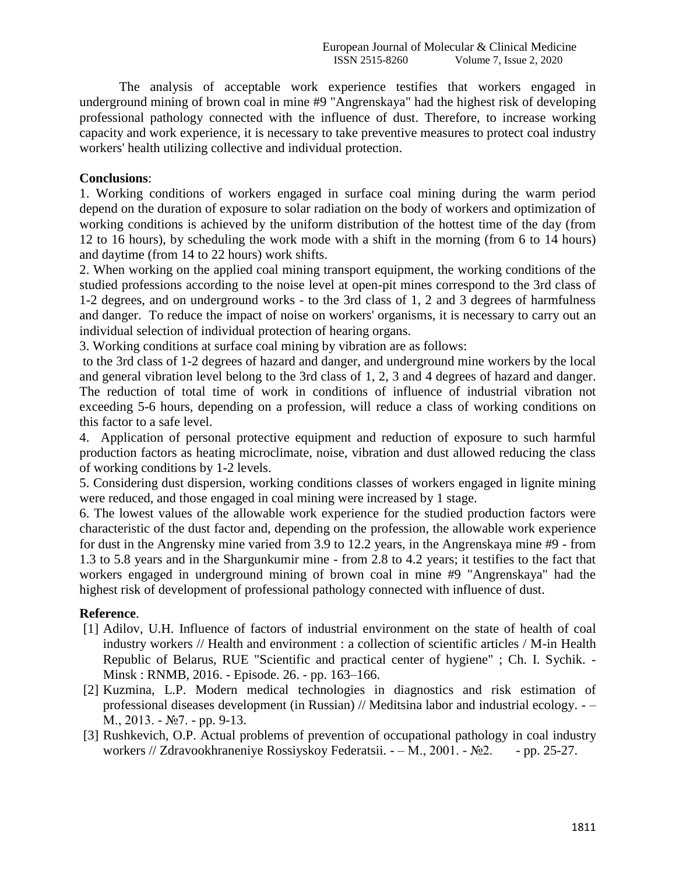The analysis of acceptable work experience testifies that workers engaged in underground mining of brown coal in mine #9 "Angrenskaya" had the highest risk of developing professional pathology connected with the influence of dust. Therefore, to increase working capacity and work experience, it is necessary to take preventive measures to protect coal industry workers' health utilizing collective and individual protection.

## **Conclusions**:

1. Working conditions of workers engaged in surface coal mining during the warm period depend on the duration of exposure to solar radiation on the body of workers and optimization of working conditions is achieved by the uniform distribution of the hottest time of the day (from 12 to 16 hours), by scheduling the work mode with a shift in the morning (from 6 to 14 hours) and daytime (from 14 to 22 hours) work shifts.

2. When working on the applied coal mining transport equipment, the working conditions of the studied professions according to the noise level at open-pit mines correspond to the 3rd class of 1-2 degrees, and on underground works - to the 3rd class of 1, 2 and 3 degrees of harmfulness and danger. To reduce the impact of noise on workers' organisms, it is necessary to carry out an individual selection of individual protection of hearing organs.

3. Working conditions at surface coal mining by vibration are as follows:

to the 3rd class of 1-2 degrees of hazard and danger, and underground mine workers by the local and general vibration level belong to the 3rd class of 1, 2, 3 and 4 degrees of hazard and danger. The reduction of total time of work in conditions of influence of industrial vibration not exceeding 5-6 hours, depending on a profession, will reduce a class of working conditions on this factor to a safe level.

4. Application of personal protective equipment and reduction of exposure to such harmful production factors as heating microclimate, noise, vibration and dust allowed reducing the class of working conditions by 1-2 levels.

5. Considering dust dispersion, working conditions classes of workers engaged in lignite mining were reduced, and those engaged in coal mining were increased by 1 stage.

6. The lowest values of the allowable work experience for the studied production factors were characteristic of the dust factor and, depending on the profession, the allowable work experience for dust in the Angrensky mine varied from 3.9 to 12.2 years, in the Angrenskaya mine #9 - from 1.3 to 5.8 years and in the Shargunkumir mine - from 2.8 to 4.2 years; it testifies to the fact that workers engaged in underground mining of brown coal in mine #9 "Angrenskaya" had the highest risk of development of professional pathology connected with influence of dust.

## **Reference**.

- [1] Adilov, U.H. Influence of factors of industrial environment on the state of health of coal industry workers // Health and environment : a collection of scientific articles / M-in Health Republic of Belarus, RUE "Scientific and practical center of hygiene" ; Ch. I. Sychik. - Minsk : RNMB, 2016. - Episode. 26. - pp. 163–166.
- [2] Kuzmina, L.P. Modern medical technologies in diagnostics and risk estimation of professional diseases development (in Russian) // Meditsina labor and industrial ecology. - – М., 2013. - №7. - pp. 9-13.
- [3] Rushkevich, O.P. Actual problems of prevention of occupational pathology in coal industry workers // Zdravookhraneniye Rossiyskoy Federatsii. - – М., 2001. - №2. - pp. 25-27.